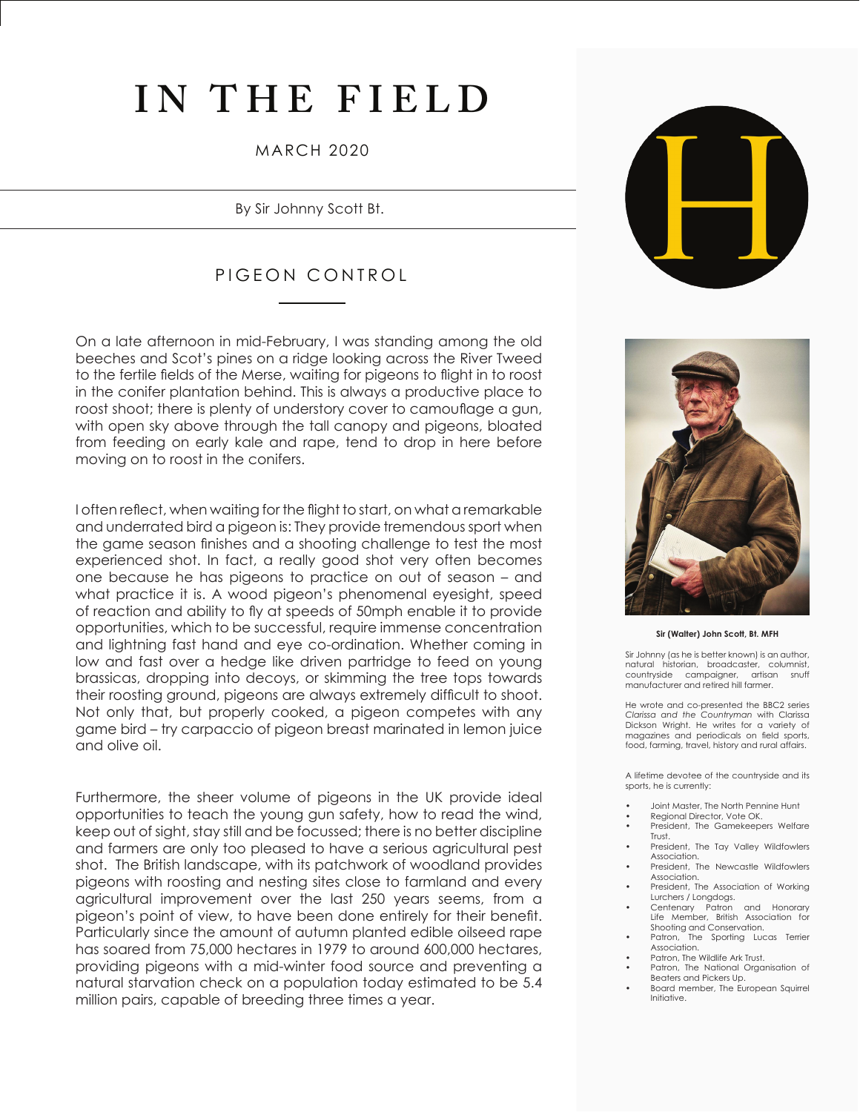## **IN THE FIELD**

### MARCH 2020

By Sir Johnny Scott Bt.

### PIGEON CONTROL

On a late afternoon in mid-February, I was standing among the old beeches and Scot's pines on a ridge looking across the River Tweed to the fertile fields of the Merse, waiting for pigeons to flight in to roost in the conifer plantation behind. This is always a productive place to roost shoot; there is plenty of understory cover to camouflage a gun, with open sky above through the tall canopy and pigeons, bloated from feeding on early kale and rape, tend to drop in here before moving on to roost in the conifers.

I often reflect, when waiting for the flight to start, on what a remarkable and underrated bird a pigeon is: They provide tremendous sport when the game season finishes and a shooting challenge to test the most experienced shot. In fact, a really good shot very often becomes one because he has pigeons to practice on out of season – and what practice it is. A wood pigeon's phenomenal eyesight, speed of reaction and ability to fly at speeds of 50mph enable it to provide opportunities, which to be successful, require immense concentration and lightning fast hand and eye co-ordination. Whether coming in low and fast over a hedge like driven partridge to feed on young brassicas, dropping into decoys, or skimming the tree tops towards their roosting ground, pigeons are always extremely difficult to shoot. Not only that, but properly cooked, a pigeon competes with any game bird – try carpaccio of pigeon breast marinated in lemon juice and olive oil.

Furthermore, the sheer volume of pigeons in the UK provide ideal opportunities to teach the young gun safety, how to read the wind, keep out of sight, stay still and be focussed; there is no better discipline and farmers are only too pleased to have a serious agricultural pest shot. The British landscape, with its patchwork of woodland provides pigeons with roosting and nesting sites close to farmland and every agricultural improvement over the last 250 years seems, from a pigeon's point of view, to have been done entirely for their benefit. Particularly since the amount of autumn planted edible oilseed rape has soared from 75,000 hectares in 1979 to around 600,000 hectares, providing pigeons with a mid-winter food source and preventing a natural starvation check on a population today estimated to be 5.4 million pairs, capable of breeding three times a year.





#### **Sir (Walter) John Scott, Bt. MFH**

Sir Johnny (as he is better known) is an author, natural historian, broadcaster, columnist,<br>countryside campaigner, artisan snuff countryside campaigner, manufacturer and retired hill farmer.

He wrote and co-presented the BBC2 series *Clarissa and the Countryman* with Clarissa Dickson Wright. He writes for a variety of magazines and periodicals on field sports, food, farming, travel, history and rural affairs.

A lifetime devotee of the countryside and its sports, he is currently:

- Joint Master, The North Pennine Hunt
- Regional Director, Vote OK.
- President, The Gamekeepers Welfare Trust.
- President, The Tay Valley Wildfowlers Association.
- President, The Newcastle Wildfowlers Association.
- President, The Association of Working Lurchers / Longdogs.
- Centenary Patron and Honorary Life Member, British Association for Shooting and Conservation.<br>Patron, The Sporting Luc
- The Sporting Lucas Terrier Association.
- Patron, The Wildlife Ark Trust. Patron, The National Organisation of
- Beaters and Pickers Up.
- Board member, The European Squirrel Initiative.